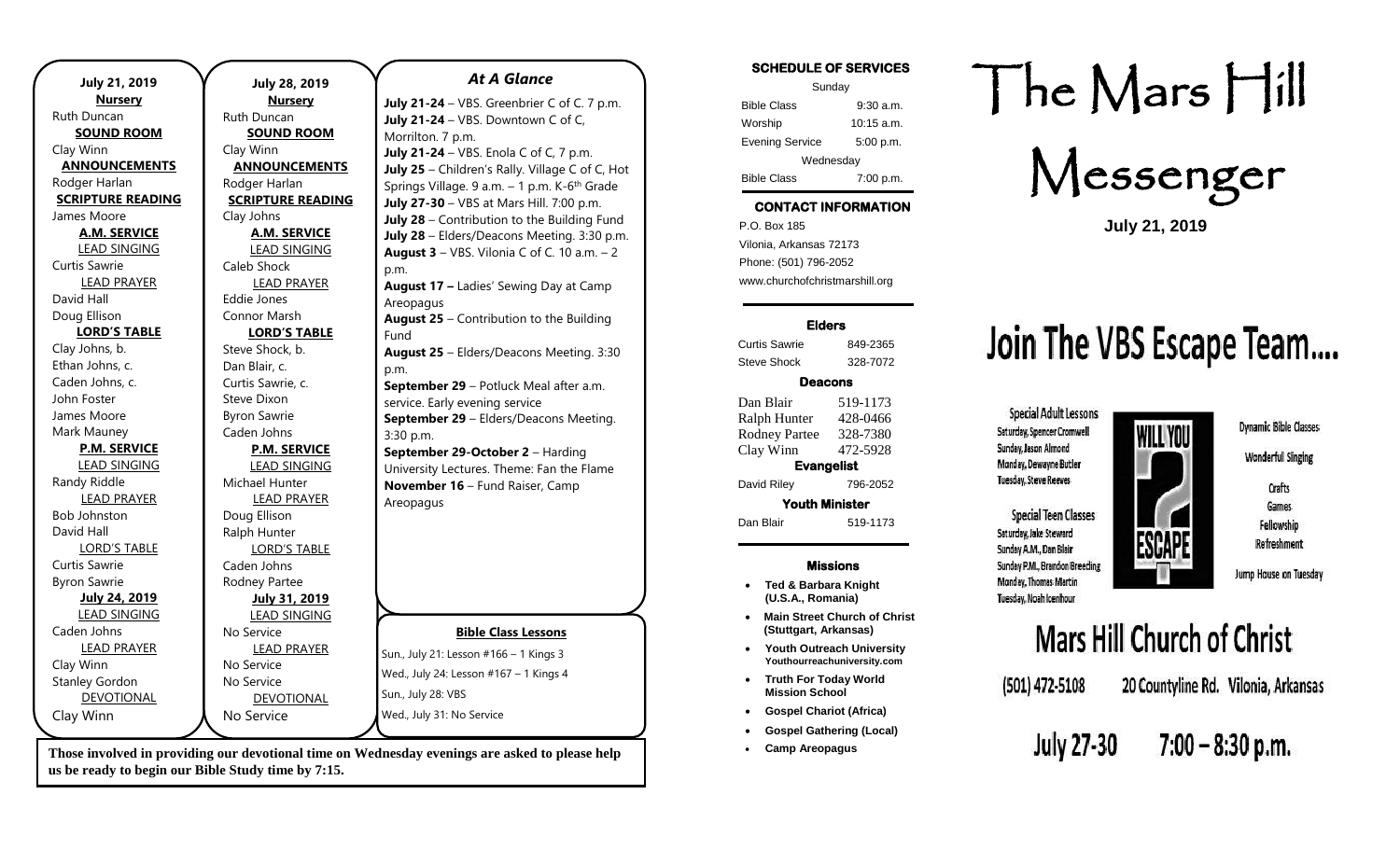| <b>July 21, 2019</b>     | <b>July 28, 2019</b>     |
|--------------------------|--------------------------|
| <b>Nursery</b>           | <b>Nursery</b>           |
| Ruth Duncan              | Ruth Duncan              |
| <b>SOUND ROOM</b>        | <b>SOUND ROOM</b>        |
| Clay Winn                | Clay Winn                |
| <b>ANNOUNCEMENTS</b>     | <b>ANNOUNCEMENTS</b>     |
| Rodger Harlan            | Rodger Harlan            |
| <b>SCRIPTURE READING</b> | <b>SCRIPTURE READING</b> |
| James Moore              | Clay Johns               |
| <b>A.M. SERVICE</b>      | <b>A.M. SERVICE</b>      |
| <b>LEAD SINGING</b>      | <b>LEAD SINGING</b>      |
| Curtis Sawrie            | Caleb Shock              |
| <b>LEAD PRAYER</b>       | <b>LEAD PRAYER</b>       |
| David Hall               | Eddie Jones              |
| Doug Ellison             | Connor Marsh             |
| <b>LORD'S TABLE</b>      | <b>LORD'S TABLE</b>      |
| Clay Johns, b.           | Steve Shock, b.          |
| Ethan Johns, c.          | Dan Blair, c.            |
| Caden Johns, c.          | Curtis Sawrie, c.        |
| John Foster              | Steve Dixon              |
| James Moore              | <b>Byron Sawrie</b>      |
| Mark Mauney              | Caden Johns              |
| <b>P.M. SERVICE</b>      | <b>P.M. SERVICE</b>      |
| <b>LEAD SINGING</b>      | <b>LEAD SINGING</b>      |
| Randy Riddle             | Michael Hunter           |
| <b>LEAD PRAYER</b>       | <b>LEAD PRAYER</b>       |
| <b>Bob Johnston</b>      | Doug Ellison             |
| David Hall               | Ralph Hunter             |
| <b>LORD'S TABLE</b>      | <b>LORD'S TABLE</b>      |
| <b>Curtis Sawrie</b>     | Caden Johns              |
| <b>Byron Sawrie</b>      | Rodney Partee            |
| <b>July 24, 2019</b>     | July 31, 2019            |
| <b>LEAD SINGING</b>      | <b>LEAD SINGING</b>      |
| Caden Johns              | No Service               |
| <b>LEAD PRAYER</b>       | <b>LEAD PRAYER</b>       |
| Clay Winn                | No Service               |
| <b>Stanley Gordon</b>    | No Service               |
| <b>DEVOTIONAL</b>        | <b>DEVOTIONAL</b>        |
| Clay Winn                | No Service               |
|                          |                          |

### *At A Glance*

**Bible Class Lessons July 21-24** – VBS. Greenbrier C of C. 7 p.m. **July 21-24** – VBS. Downtown C of C, Morrilton. 7 p.m. **July 21-24** – VBS. Enola C of C, 7 p.m. **July 25** – Children's Rally. Village C of C, Hot Springs Village. 9 a.m. – 1 p.m. K-6<sup>th</sup> Grade **July 27-30** – VBS at Mars Hill. 7:00 p.m. **July 28** – Contribution to the Building Fund **July 28** – Elders/Deacons Meeting. 3:30 p.m. **August 3** – VBS. Vilonia C of C. 10 a.m. – 2 p.m. **August 17 –** Ladies' Sewing Day at Camp Areopagus **August 25** – Contribution to the Building Fund **August 25** – Elders/Deacons Meeting. 3:30 p.m. **September 29** – Potluck Meal after a.m. service. Early evening service **September 29** – Elders/Deacons Meeting. 3:30 p.m. **September 29-October 2** – Harding University Lectures. Theme: Fan the Flame **November 16** – Fund Raiser, Camp Areopagus

Sun., July 21: Lesson #166 – 1 Kings 3 Wed., July 24: Lesson #167 – 1 Kings 4 Sun., July 28: VBS Wed., July 31: No Service

**Those involved in providing our devotional time on Wednesday evenings are asked to please help us be ready to begin our Bible Study time by 7:15.** 

| SCHEDULE OF SERVICES   |              |
|------------------------|--------------|
| Sunday                 |              |
| <b>Bible Class</b>     | $9:30$ a.m.  |
| Worship                | $10:15$ a.m. |
| <b>Evening Service</b> | 5:00 p.m.    |
|                        | Wednesday    |
| <b>Bible Class</b>     | 7:00 p.m.    |

**SCHEDULE OF SERVICES** 

## **CONTACT INFORMATION**

. .o. Box 166<br>Vilonia, Arkansas 72173 P.O. Box 185 Phone: (501) 796-2052 www.churchofchristmarshill.org

#### **Elders**

Curtis Sawrie 849-2365 Steve Shock 328-7072

#### **Deacons**

Dan Blair 519-1173 Ralph Hunter 428-0466 Rodney Partee 328-7380 Clay Winn 472-5928 **Evangelist**  David Riley 796-2052 **Youth Minister** 

### **Missions**

Dan Blair 519-1173

- **Ted & Barbara Knight (U.S.A., Romania)**
- **Main Street Church of Christ (Stuttgart, Arkansas)**
- **Youth Outreach University Youthourreachuniversity.com**
- **Truth For Today World Mission School**
- **Gospel Chariot (Africa)**
- **Gospel Gathering (Local)**
- **Camp Areopagus**

# The Mars Hill

Messenger

**July 21, 2019**

# Join The VBS Escape Team....

WILL YOU

Special Adult Lessons Saturday, Spencer Cromwell Sunday, Jason Almond Monday, Dewayne Butler **Tuesday, Steve Reeves** 

**Special Teen Classes** Saturday, Jake Steward Sunday A.M., Dan Blair Sunday P.M., Brandon Breeding Monday, Thomas Martin Tuesday, Noah Icenhour

(501) 472-5108

**Dynamic Bible Classes Wonderful Singing** 

> Crafts Games Fellowship Refreshment

Jump House on Tuesday

# Mars Hill Church of Christ

ESCAP

20 Countyline Rd. Vilonia, Arkansas

**July 27-30**